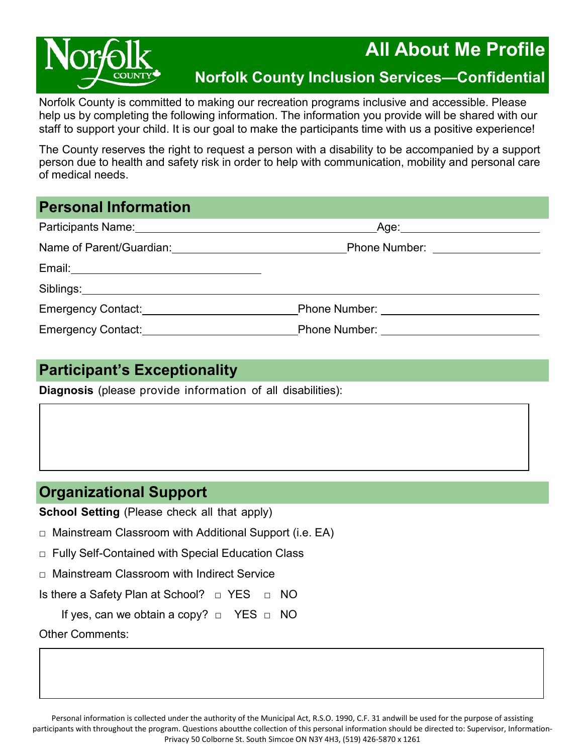

# **All About Me Profile**

# **Norfolk County Inclusion Services—Confidential**

Norfolk County is committed to making our recreation programs inclusive and accessible. Please help us by completing the following information. The information you provide will be shared with our staff to support your child. It is our goal to make the participants time with us a positive experience!

The County reserves the right to request a person with a disability to be accompanied by a support person due to health and safety risk in order to help with communication, mobility and personal care of medical needs.

### **Personal Information**

|                                                   | Age: _______________________                 |  |
|---------------------------------------------------|----------------------------------------------|--|
| Name of Parent/Guardian: Name of Parent/Guardian: | Phone Number: <u>_________________</u>       |  |
|                                                   |                                              |  |
|                                                   |                                              |  |
| Emergency Contact: Emergency Contact:             |                                              |  |
| Emergency Contact: Emergency Contact:             | Phone Number: <u>_______________________</u> |  |

## **Participant's Exceptionality**

**Diagnosis** (please provide information of all disabilities):

## **Organizational Support**

**School Setting** (Please check all that apply)

□ Mainstream Classroom with Additional Support (i.e. EA)

□ Fully Self-Contained with Special Education Class

□ Mainstream Classroom with Indirect Service

Is there a Safety Plan at School? □ YES □ NO

If yes, can we obtain a copy? □ YES □ NO

Other Comments: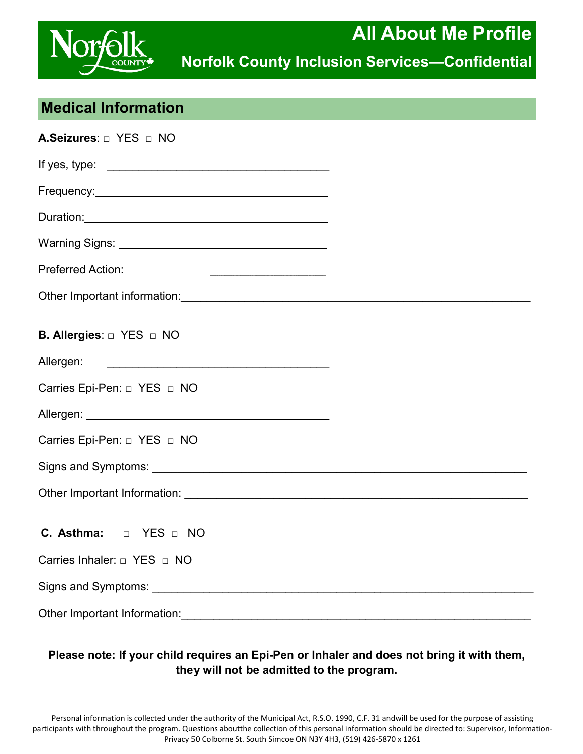

## **Medical Information**

| A.Seizures: D YES D NO                 |  |
|----------------------------------------|--|
|                                        |  |
|                                        |  |
|                                        |  |
|                                        |  |
|                                        |  |
|                                        |  |
| B. Allergies: $\Box$ YES $\Box$ NO     |  |
|                                        |  |
| Carries Epi-Pen: $\Box$ YES $\Box$ NO  |  |
|                                        |  |
|                                        |  |
|                                        |  |
|                                        |  |
| <b>C.</b> Asthma: $\Box$ YES $\Box$ NO |  |
| Carries Inhaler: $\Box$ YES $\Box$ NO  |  |
|                                        |  |
|                                        |  |

### **Please note: If your child requires an Epi-Pen or Inhaler and does not bring it with them, they will not be admitted to the program.**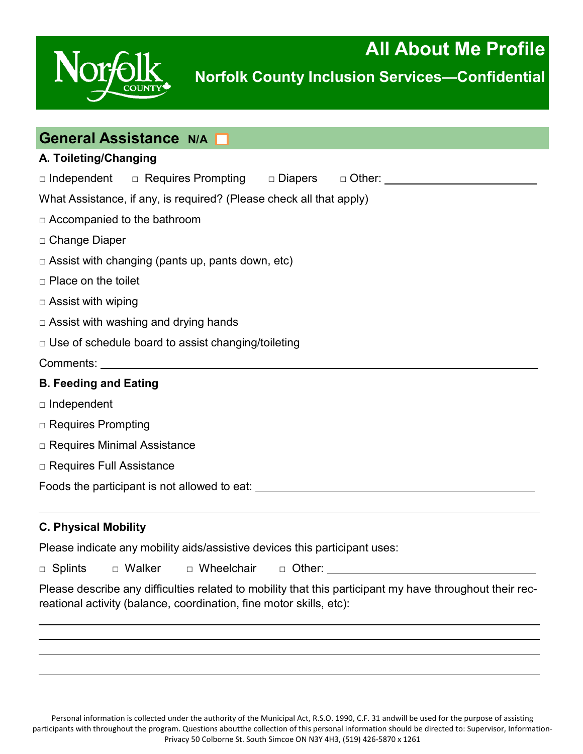

| General Assistance N/A                                                           |
|----------------------------------------------------------------------------------|
| A. Toileting/Changing                                                            |
| □ Independent □ Requires Prompting □ Diapers □ Other: _________________________  |
| What Assistance, if any, is required? (Please check all that apply)              |
| $\Box$ Accompanied to the bathroom                                               |
| □ Change Diaper                                                                  |
| $\Box$ Assist with changing (pants up, pants down, etc)                          |
| $\Box$ Place on the toilet                                                       |
| $\Box$ Assist with wiping                                                        |
| $\Box$ Assist with washing and drying hands                                      |
| □ Use of schedule board to assist changing/toileting                             |
|                                                                                  |
| <b>B. Feeding and Eating</b>                                                     |
| $\Box$ Independent                                                               |
| $\Box$ Requires Prompting                                                        |
| □ Requires Minimal Assistance                                                    |
| □ Requires Full Assistance                                                       |
| Foods the participant is not allowed to eat: ___________________________________ |
|                                                                                  |
| <b>C. Physical Mobility</b>                                                      |

Please indicate any mobility aids/assistive devices this participant uses:

□ Splints □ Walker □ Wheelchair □ Other:

Please describe any difficulties related to mobility that this participant my have throughout their recreational activity (balance, coordination, fine motor skills, etc):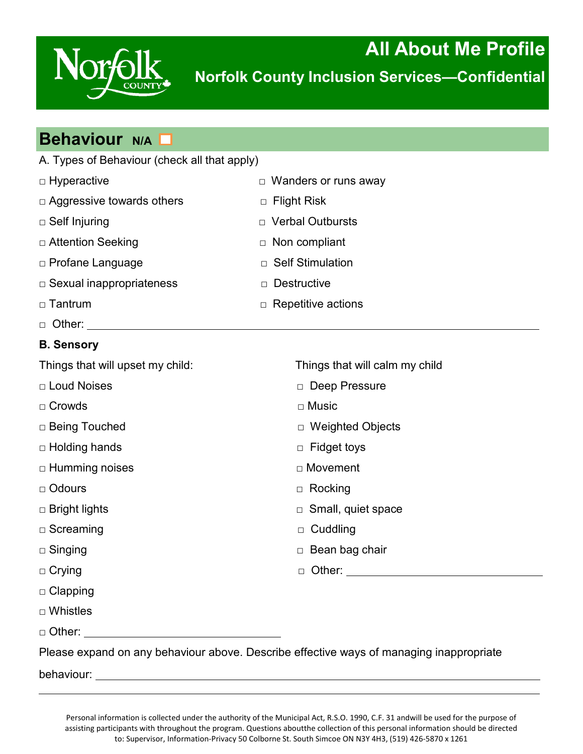

**All About Me Profile Norfolk County Inclusion Services—Confidential**

| <b>Behaviour N/A D</b>                                 |                                |  |  |
|--------------------------------------------------------|--------------------------------|--|--|
| A. Types of Behaviour (check all that apply)           |                                |  |  |
| □ Hyperactive                                          | □ Wanders or runs away         |  |  |
| $\Box$ Aggressive towards others                       | <b>Flight Risk</b><br>$\Box$   |  |  |
| $\Box$ Self Injuring                                   | D Verbal Outbursts             |  |  |
| □ Attention Seeking                                    | Non compliant<br>$\Box$        |  |  |
| □ Profane Language                                     | <b>Self Stimulation</b><br>П.  |  |  |
| $\Box$ Sexual inappropriateness                        | <b>Destructive</b><br>$\Box$   |  |  |
| □ Tantrum                                              | $\Box$ Repetitive actions      |  |  |
| $\Box$ Other: $\_\_\_\_\_\_\_\_\_\_\_\_\_\_\_\_\_$     |                                |  |  |
| <b>B. Sensory</b>                                      |                                |  |  |
| Things that will upset my child:                       | Things that will calm my child |  |  |
| □ Loud Noises                                          | Deep Pressure                  |  |  |
| $\Box$ Crowds                                          | $\Box$ Music                   |  |  |
| □ Being Touched                                        | □ Weighted Objects             |  |  |
| □ Holding hands                                        | $\Box$ Fidget toys             |  |  |
| $\Box$ Humming noises                                  | □ Movement                     |  |  |
| □ Odours                                               | $\Box$ Rocking                 |  |  |
| □ Bright lights                                        | $\Box$ Small, quiet space      |  |  |
| □ Screaming                                            | $\Box$ Cuddling                |  |  |
| $\Box$ Singing                                         | □ Bean bag chair               |  |  |
| $\Box$ Crying                                          |                                |  |  |
| $\Box$ Clapping                                        |                                |  |  |
| $\Box$ Whistles                                        |                                |  |  |
|                                                        |                                |  |  |
| avnand an any bahaviaux above. Deceribe effective wave |                                |  |  |

Please expand on any behaviour above. Describe effective ways of managing inappropriate

behaviour: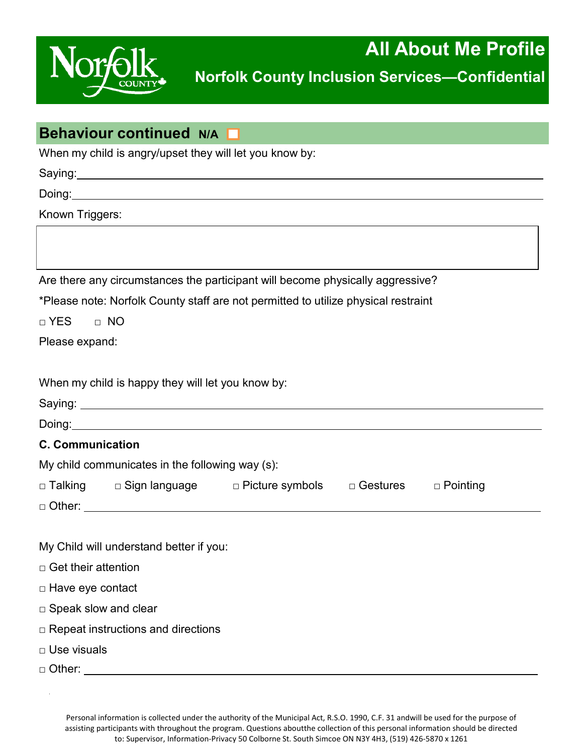

# **Behaviour continued N/A**

When my child is angry/upset they will let you know by:

Saying: **Saying: Saying: Saying: Saying: Saying: Saying: Saying: Saying: Saying: Saying: Saying: Saying: Saying: Saying: Saying: Saying: Saying: Saying: Saying: Saying: Saying: Say** 

Doing:

Known Triggers:

Are there any circumstances the participant will become physically aggressive?

\*Please note: Norfolk County staff are not permitted to utilize physical restraint

□ YES □ NO

Please expand:

| When my child is happy they will let you know by: |  |  |  |  |
|---------------------------------------------------|--|--|--|--|
|---------------------------------------------------|--|--|--|--|

| <b>C. Communication</b>     |                                                 |                                                                   |  |  |
|-----------------------------|-------------------------------------------------|-------------------------------------------------------------------|--|--|
|                             | My child communicates in the following way (s): |                                                                   |  |  |
|                             |                                                 | □ Talking □ Sign language □ Picture symbols □ Gestures □ Pointing |  |  |
|                             |                                                 |                                                                   |  |  |
|                             |                                                 |                                                                   |  |  |
|                             | My Child will understand better if you:         |                                                                   |  |  |
| $\Box$ Get their attention  |                                                 |                                                                   |  |  |
| $\Box$ Have eye contact     |                                                 |                                                                   |  |  |
| $\Box$ Speak slow and clear |                                                 |                                                                   |  |  |
|                             | $\Box$ Repeat instructions and directions       |                                                                   |  |  |
| □ Use visuals               |                                                 |                                                                   |  |  |

 $\Box$  Other:  $\rule{1em}{0.15mm}$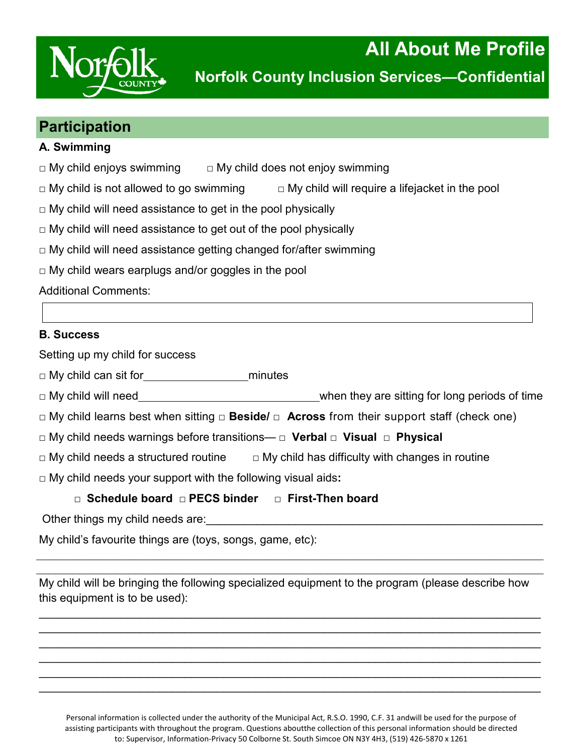

### **Participation**

### **A. Swimming**

 $\Box$  My child enjoys swimming  $\Box$  My child does not enjoy swimming

 $\Box$  My child is not allowed to go swimming  $\Box$  My child will require a lifejacket in the pool

 $\Box$  My child will need assistance to get in the pool physically

 $\Box$  My child will need assistance to get out of the pool physically

 $\Box$  My child will need assistance getting changed for/after swimming

 $\Box$  My child wears earplugs and/or goggles in the pool

Additional Comments:

### **B. Success**

Setting up my child for success

□ My child can sit for minutes

□ My child will need when they are sitting for long periods of time

□ My child learns best when sitting **□ Beside/ □ Across** from their support staff (check one)

□ My child needs warnings before transitions— **□ Verbal □ Visual □ Physical**

 $\Box$  My child needs a structured routine  $\Box$  My child has difficulty with changes in routine

□ My child needs your support with the following visual aids**:** 

### **□ Schedule board □ PECS binder □ First-Then board**

Other things my child needs are:

My child's favourite things are (toys, songs, game, etc):

My child will be bringing the following specialized equipment to the program (please describe how this equipment is to be used):

\_\_\_\_\_\_\_\_\_\_\_\_\_\_\_\_\_\_\_\_\_\_\_\_\_\_\_\_\_\_\_\_\_\_\_\_\_\_\_\_\_\_\_\_\_\_\_\_\_\_\_\_\_\_\_\_\_\_\_\_\_\_\_\_\_\_\_\_\_\_\_\_\_\_\_\_\_\_\_ \_\_\_\_\_\_\_\_\_\_\_\_\_\_\_\_\_\_\_\_\_\_\_\_\_\_\_\_\_\_\_\_\_\_\_\_\_\_\_\_\_\_\_\_\_\_\_\_\_\_\_\_\_\_\_\_\_\_\_\_\_\_\_\_\_\_\_\_\_\_\_\_\_\_\_\_\_\_\_ \_\_\_\_\_\_\_\_\_\_\_\_\_\_\_\_\_\_\_\_\_\_\_\_\_\_\_\_\_\_\_\_\_\_\_\_\_\_\_\_\_\_\_\_\_\_\_\_\_\_\_\_\_\_\_\_\_\_\_\_\_\_\_\_\_\_\_\_\_\_\_\_\_\_\_\_\_\_\_ \_\_\_\_\_\_\_\_\_\_\_\_\_\_\_\_\_\_\_\_\_\_\_\_\_\_\_\_\_\_\_\_\_\_\_\_\_\_\_\_\_\_\_\_\_\_\_\_\_\_\_\_\_\_\_\_\_\_\_\_\_\_\_\_\_\_\_\_\_\_\_\_\_\_\_\_\_\_\_ \_\_\_\_\_\_\_\_\_\_\_\_\_\_\_\_\_\_\_\_\_\_\_\_\_\_\_\_\_\_\_\_\_\_\_\_\_\_\_\_\_\_\_\_\_\_\_\_\_\_\_\_\_\_\_\_\_\_\_\_\_\_\_\_\_\_\_\_\_\_\_\_\_\_\_\_\_\_\_ \_\_\_\_\_\_\_\_\_\_\_\_\_\_\_\_\_\_\_\_\_\_\_\_\_\_\_\_\_\_\_\_\_\_\_\_\_\_\_\_\_\_\_\_\_\_\_\_\_\_\_\_\_\_\_\_\_\_\_\_\_\_\_\_\_\_\_\_\_\_\_\_\_\_\_\_\_\_\_

 $\_$  $\_$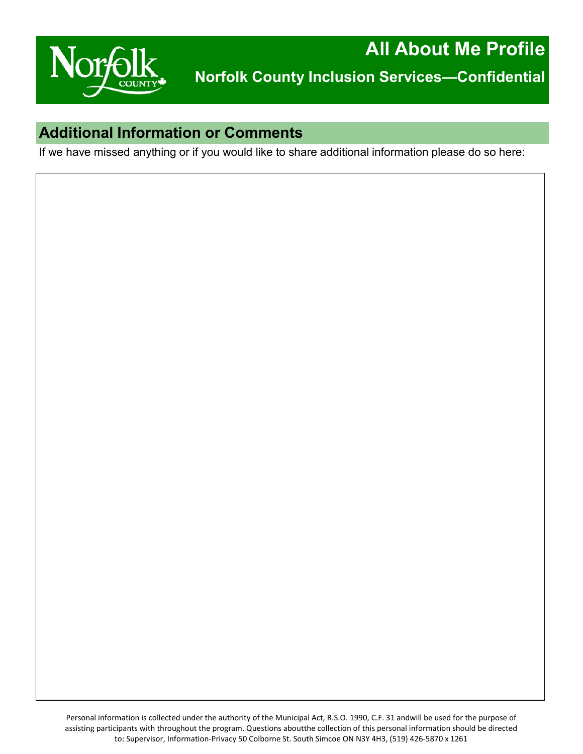

## **Additional Information or Comments**

If we have missed anything or if you would like to share additional information please do so here: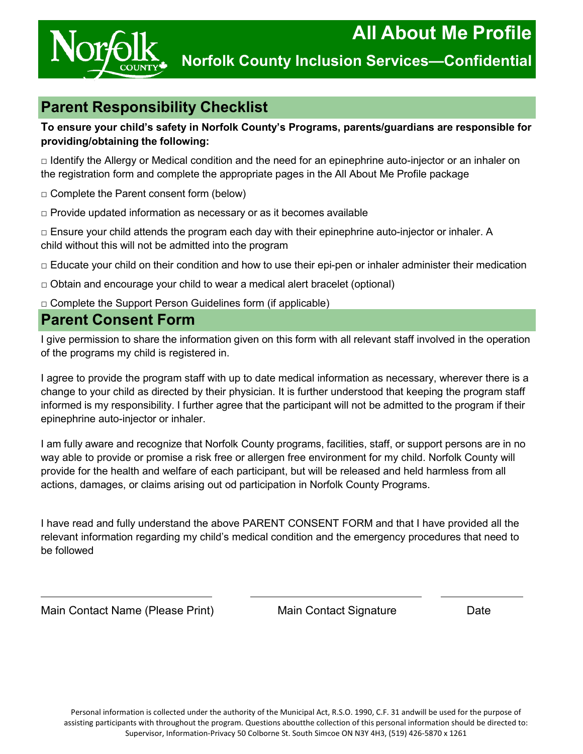

# **Parent Responsibility Checklist**

#### **To ensure your child's safety in Norfolk County's Programs, parents/guardians are responsible for providing/obtaining the following:**

□ Identify the Allergy or Medical condition and the need for an epinephrine auto-injector or an inhaler on the registration form and complete the appropriate pages in the All About Me Profile package

□ Complete the Parent consent form (below)

 $\Box$  Provide updated information as necessary or as it becomes available

 $\Box$  Ensure your child attends the program each day with their epinephrine auto-injector or inhaler. A child without this will not be admitted into the program

□ Educate your child on their condition and how to use their epi-pen or inhaler administer their medication

 $\Box$  Obtain and encourage your child to wear a medical alert bracelet (optional)

□ Complete the Support Person Guidelines form (if applicable)

### **Parent Consent Form**

I give permission to share the information given on this form with all relevant staff involved in the operation of the programs my child is registered in.

I agree to provide the program staff with up to date medical information as necessary, wherever there is a change to your child as directed by their physician. It is further understood that keeping the program staff informed is my responsibility. I further agree that the participant will not be admitted to the program if their epinephrine auto-injector or inhaler.

I am fully aware and recognize that Norfolk County programs, facilities, staff, or support persons are in no way able to provide or promise a risk free or allergen free environment for my child. Norfolk County will provide for the health and welfare of each participant, but will be released and held harmless from all actions, damages, or claims arising out od participation in Norfolk County Programs.

I have read and fully understand the above PARENT CONSENT FORM and that I have provided all the relevant information regarding my child's medical condition and the emergency procedures that need to be followed

Main Contact Name (Please Print) Main Contact Signature Date